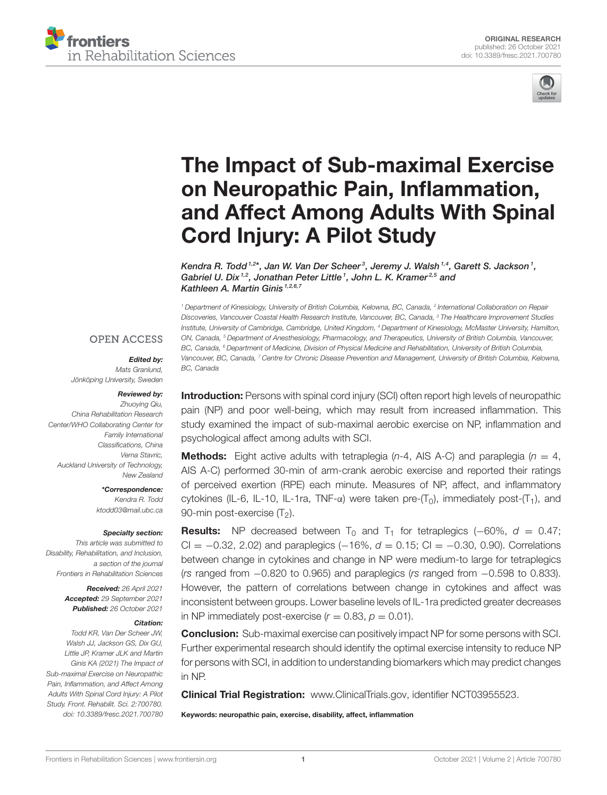



# The Impact of Sub-maximal Exercise on Neuropathic Pain, Inflammation, [and Affect Among Adults With Spinal](https://www.frontiersin.org/articles/10.3389/fresc.2021.700780/full) Cord Injury: A Pilot Study

Kendra R. Todd  $1.2^*$ , Jan W. Van Der Scheer $^3$ , Jeremy J. Walsh  $1.4$ , Garett S. Jackson  $1$ , Gabriel U. Dix<sup>1,2</sup>, Jonathan Peter Little<sup>1</sup>, John L. K. Kramer<sup>2,5</sup> and Kathleen A. Martin Ginis<sup>1,2,6,7</sup>

<sup>1</sup> Department of Kinesiology, University of British Columbia, Kelowna, BC, Canada, <sup>2</sup> International Collaboration on Repair Discoveries, Vancouver Coastal Health Research Institute, Vancouver, BC, Canada, <sup>3</sup> The Healthcare Improvement Studies Institute, University of Cambridge, Cambridge, United Kingdom, <sup>4</sup> Department of Kinesiology, McMaster University, Hamilton, ON, Canada, <sup>5</sup> Department of Anesthesiology, Pharmacology, and Therapeutics, University of British Columbia, Vancouver, BC, Canada, <sup>6</sup> Department of Medicine, Division of Physical Medicine and Rehabilitation, University of British Columbia, Vancouver, BC, Canada, <sup>7</sup> Centre for Chronic Disease Prevention and Management, University of British Columbia, Kelowna, BC, Canada

#### **OPEN ACCESS**

#### Edited by:

Mats Granlund, Jönköping University, Sweden

#### Reviewed by:

Zhuoying Qiu, China Rehabilitation Research Center/WHO Collaborating Center for Family International Classifications, China Verna Stavric, Auckland University of Technology, New Zealand

> \*Correspondence: Kendra R. Todd [ktodd03@mail.ubc.ca](mailto:ktodd03@mail.ubc.ca)

#### Specialty section:

This article was submitted to Disability, Rehabilitation, and Inclusion, a section of the journal Frontiers in Rehabilitation Sciences

> Received: 26 April 2021 Accepted: 29 September 2021 Published: 26 October 2021

#### Citation:

Todd KR, Van Der Scheer JW, Walsh JJ, Jackson GS, Dix GU, Little JP, Kramer JLK and Martin Ginis KA (2021) The Impact of Sub-maximal Exercise on Neuropathic Pain, Inflammation, and Affect Among Adults With Spinal Cord Injury: A Pilot Study. Front. Rehabilit. Sci. 2:700780. doi: [10.3389/fresc.2021.700780](https://doi.org/10.3389/fresc.2021.700780)

Introduction: Persons with spinal cord injury (SCI) often report high levels of neuropathic pain (NP) and poor well-being, which may result from increased inflammation. This study examined the impact of sub-maximal aerobic exercise on NP, inflammation and psychological affect among adults with SCI.

**Methods:** Eight active adults with tetraplegia  $(n-4, AB A-C)$  and paraplegia  $(n = 4,$ AIS A-C) performed 30-min of arm-crank aerobic exercise and reported their ratings of perceived exertion (RPE) each minute. Measures of NP, affect, and inflammatory cytokines (IL-6, IL-10, IL-1ra, TNF- $\alpha$ ) were taken pre- $(T_0)$ , immediately post- $(T_1)$ , and 90-min post-exercise  $(T<sub>2</sub>)$ .

**Results:** NP decreased between T<sub>0</sub> and T<sub>1</sub> for tetraplegics (–60%,  $d = 0.47$ ; CI =  $-0.32$ , 2.02) and paraplegics  $(-16\%, d = 0.15; C = -0.30, 0.90)$ . Correlations between change in cytokines and change in NP were medium-to large for tetraplegics (rs ranged from −0.820 to 0.965) and paraplegics (rs ranged from −0.598 to 0.833). However, the pattern of correlations between change in cytokines and affect was inconsistent between groups. Lower baseline levels of IL-1ra predicted greater decreases in NP immediately post-exercise ( $r = 0.83$ ,  $p = 0.01$ ).

Conclusion: Sub-maximal exercise can positively impact NP for some persons with SCI. Further experimental research should identify the optimal exercise intensity to reduce NP for persons with SCI, in addition to understanding biomarkers which may predict changes in NP.

Clinical Trial Registration: [www.ClinicalTrials.gov,](http://www.ClinicalTrials.gov) identifier NCT03955523.

Keywords: neuropathic pain, exercise, disability, affect, inflammation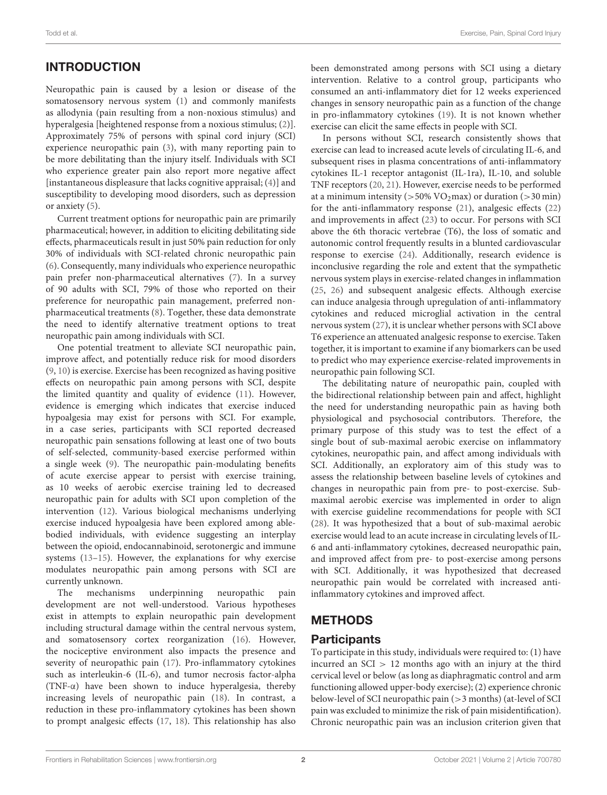# INTRODUCTION

Neuropathic pain is caused by a lesion or disease of the somatosensory nervous system [\(1\)](#page-9-0) and commonly manifests as allodynia (pain resulting from a non-noxious stimulus) and hyperalgesia [heightened response from a noxious stimulus; [\(2\)](#page-9-1)]. Approximately 75% of persons with spinal cord injury (SCI) experience neuropathic pain [\(3\)](#page-9-2), with many reporting pain to be more debilitating than the injury itself. Individuals with SCI who experience greater pain also report more negative affect [instantaneous displeasure that lacks cognitive appraisal; [\(4\)](#page-9-3)] and susceptibility to developing mood disorders, such as depression or anxiety [\(5\)](#page-9-4).

Current treatment options for neuropathic pain are primarily pharmaceutical; however, in addition to eliciting debilitating side effects, pharmaceuticals result in just 50% pain reduction for only 30% of individuals with SCI-related chronic neuropathic pain [\(6\)](#page-9-5). Consequently, many individuals who experience neuropathic pain prefer non-pharmaceutical alternatives [\(7\)](#page-9-6). In a survey of 90 adults with SCI, 79% of those who reported on their preference for neuropathic pain management, preferred nonpharmaceutical treatments [\(8\)](#page-9-7). Together, these data demonstrate the need to identify alternative treatment options to treat neuropathic pain among individuals with SCI.

One potential treatment to alleviate SCI neuropathic pain, improve affect, and potentially reduce risk for mood disorders [\(9,](#page-9-8) [10\)](#page-9-9) is exercise. Exercise has been recognized as having positive effects on neuropathic pain among persons with SCI, despite the limited quantity and quality of evidence [\(11\)](#page-9-10). However, evidence is emerging which indicates that exercise induced hypoalgesia may exist for persons with SCI. For example, in a case series, participants with SCI reported decreased neuropathic pain sensations following at least one of two bouts of self-selected, community-based exercise performed within a single week [\(9\)](#page-9-8). The neuropathic pain-modulating benefits of acute exercise appear to persist with exercise training, as 10 weeks of aerobic exercise training led to decreased neuropathic pain for adults with SCI upon completion of the intervention [\(12\)](#page-9-11). Various biological mechanisms underlying exercise induced hypoalgesia have been explored among ablebodied individuals, with evidence suggesting an interplay between the opioid, endocannabinoid, serotonergic and immune systems [\(13–](#page-9-12)[15\)](#page-9-13). However, the explanations for why exercise modulates neuropathic pain among persons with SCI are currently unknown.

The mechanisms underpinning neuropathic pain development are not well-understood. Various hypotheses exist in attempts to explain neuropathic pain development including structural damage within the central nervous system, and somatosensory cortex reorganization [\(16\)](#page-9-14). However, the nociceptive environment also impacts the presence and severity of neuropathic pain [\(17\)](#page-9-15). Pro-inflammatory cytokines such as interleukin-6 (IL-6), and tumor necrosis factor-alpha (TNF-α) have been shown to induce hyperalgesia, thereby increasing levels of neuropathic pain [\(18\)](#page-9-16). In contrast, a reduction in these pro-inflammatory cytokines has been shown to prompt analgesic effects [\(17,](#page-9-15) [18\)](#page-9-16). This relationship has also been demonstrated among persons with SCI using a dietary intervention. Relative to a control group, participants who consumed an anti-inflammatory diet for 12 weeks experienced changes in sensory neuropathic pain as a function of the change in pro-inflammatory cytokines [\(19\)](#page-9-17). It is not known whether exercise can elicit the same effects in people with SCI.

In persons without SCI, research consistently shows that exercise can lead to increased acute levels of circulating IL-6, and subsequent rises in plasma concentrations of anti-inflammatory cytokines IL-1 receptor antagonist (IL-1ra), IL-10, and soluble TNF receptors [\(20,](#page-9-18) [21\)](#page-9-19). However, exercise needs to be performed at a minimum intensity ( $>50\%$  VO<sub>2</sub>max) or duration ( $>30$  min) for the anti-inflammatory response [\(21\)](#page-9-19), analgesic effects [\(22\)](#page-9-20) and improvements in affect [\(23\)](#page-9-21) to occur. For persons with SCI above the 6th thoracic vertebrae (T6), the loss of somatic and autonomic control frequently results in a blunted cardiovascular response to exercise [\(24\)](#page-9-22). Additionally, research evidence is inconclusive regarding the role and extent that the sympathetic nervous system plays in exercise-related changes in inflammation [\(25,](#page-9-23) [26\)](#page-9-24) and subsequent analgesic effects. Although exercise can induce analgesia through upregulation of anti-inflammatory cytokines and reduced microglial activation in the central nervous system [\(27\)](#page-9-25), it is unclear whether persons with SCI above T6 experience an attenuated analgesic response to exercise. Taken together, it is important to examine if any biomarkers can be used to predict who may experience exercise-related improvements in neuropathic pain following SCI.

The debilitating nature of neuropathic pain, coupled with the bidirectional relationship between pain and affect, highlight the need for understanding neuropathic pain as having both physiological and psychosocial contributors. Therefore, the primary purpose of this study was to test the effect of a single bout of sub-maximal aerobic exercise on inflammatory cytokines, neuropathic pain, and affect among individuals with SCI. Additionally, an exploratory aim of this study was to assess the relationship between baseline levels of cytokines and changes in neuropathic pain from pre- to post-exercise. Submaximal aerobic exercise was implemented in order to align with exercise guideline recommendations for people with SCI [\(28\)](#page-9-26). It was hypothesized that a bout of sub-maximal aerobic exercise would lead to an acute increase in circulating levels of IL-6 and anti-inflammatory cytokines, decreased neuropathic pain, and improved affect from pre- to post-exercise among persons with SCI. Additionally, it was hypothesized that decreased neuropathic pain would be correlated with increased antiinflammatory cytokines and improved affect.

# METHODS

### Participants

To participate in this study, individuals were required to: (1) have incurred an  $|SCI| > 12$  months ago with an injury at the third cervical level or below (as long as diaphragmatic control and arm functioning allowed upper-body exercise); (2) experience chronic below-level of SCI neuropathic pain (>3 months) (at-level of SCI pain was excluded to minimize the risk of pain misidentification). Chronic neuropathic pain was an inclusion criterion given that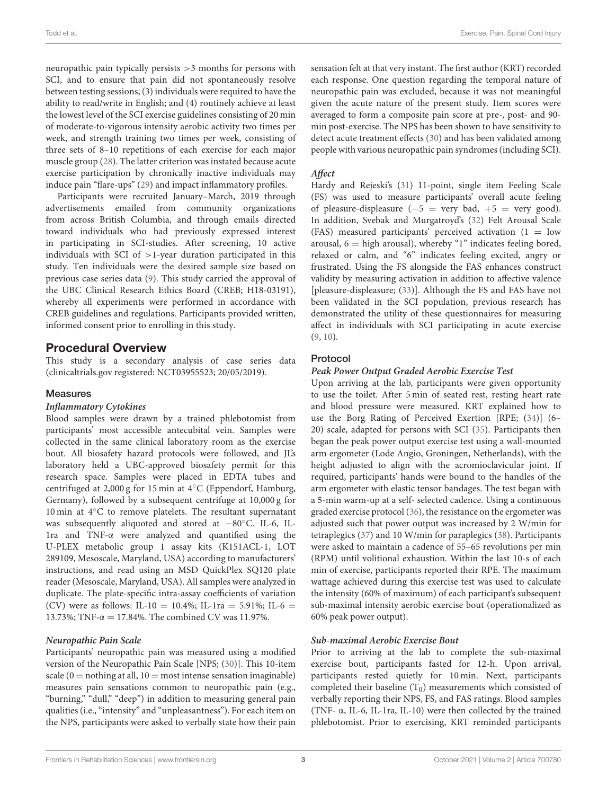neuropathic pain typically persists >3 months for persons with SCI, and to ensure that pain did not spontaneously resolve between testing sessions; (3) individuals were required to have the ability to read/write in English; and (4) routinely achieve at least the lowest level of the SCI exercise guidelines consisting of 20 min of moderate-to-vigorous intensity aerobic activity two times per week, and strength training two times per week, consisting of three sets of 8–10 repetitions of each exercise for each major muscle group [\(28\)](#page-9-26). The latter criterion was instated because acute exercise participation by chronically inactive individuals may induce pain "flare-ups" [\(29\)](#page-9-27) and impact inflammatory profiles.

Participants were recruited January–March, 2019 through advertisements emailed from community organizations from across British Columbia, and through emails directed toward individuals who had previously expressed interest in participating in SCI-studies. After screening, 10 active individuals with SCI of  $>1$ -year duration participated in this study. Ten individuals were the desired sample size based on previous case series data [\(9\)](#page-9-8). This study carried the approval of the UBC Clinical Research Ethics Board (CREB; H18-03191), whereby all experiments were performed in accordance with CREB guidelines and regulations. Participants provided written, informed consent prior to enrolling in this study.

### Procedural Overview

This study is a secondary analysis of case series data [\(clinicaltrials.gov](http://www.clinicaltrials.gov) registered: NCT03955523; 20/05/2019).

#### Measures

#### **Inflammatory Cytokines**

Blood samples were drawn by a trained phlebotomist from participants' most accessible antecubital vein. Samples were collected in the same clinical laboratory room as the exercise bout. All biosafety hazard protocols were followed, and JL's laboratory held a UBC-approved biosafety permit for this research space. Samples were placed in EDTA tubes and centrifuged at 2,000 g for 15 min at 4◦C (Eppendorf, Hamburg, Germany), followed by a subsequent centrifuge at 10,000 g for 10 min at 4◦C to remove platelets. The resultant supernatant was subsequently aliquoted and stored at −80◦C. IL-6, IL-1ra and TNF-α were analyzed and quantified using the U-PLEX metabolic group 1 assay kits (K151ACL-1, LOT 289109, Mesoscale, Maryland, USA) according to manufacturers' instructions, and read using an MSD QuickPlex SQ120 plate reader (Mesoscale, Maryland, USA). All samples were analyzed in duplicate. The plate-specific intra-assay coefficients of variation (CV) were as follows: IL-10 = 10.4%; IL-1ra = 5.91%; IL-6 = 13.73%; TNF- $\alpha = 17.84$ %. The combined CV was 11.97%.

#### **Neuropathic Pain Scale**

Participants' neuropathic pain was measured using a modified version of the Neuropathic Pain Scale [NPS; [\(30\)](#page-9-28)]. This 10-item scale ( $0 =$  nothing at all,  $10 =$  most intense sensation imaginable) measures pain sensations common to neuropathic pain (e.g., "burning," "dull," "deep") in addition to measuring general pain qualities (i.e., "intensity" and "unpleasantness"). For each item on the NPS, participants were asked to verbally state how their pain sensation felt at that very instant. The first author (KRT) recorded each response. One question regarding the temporal nature of neuropathic pain was excluded, because it was not meaningful given the acute nature of the present study. Item scores were averaged to form a composite pain score at pre-, post- and 90 min post-exercise. The NPS has been shown to have sensitivity to detect acute treatment effects [\(30\)](#page-9-28) and has been validated among people with various neuropathic pain syndromes (including SCI).

#### **Affect**

Hardy and Rejeski's [\(31\)](#page-9-29) 11-point, single item Feeling Scale (FS) was used to measure participants' overall acute feeling of pleasure-displeasure  $(-5 = \text{very bad}, +5 = \text{very good}).$ In addition, Svebak and Murgatroyd's [\(32\)](#page-9-30) Felt Arousal Scale (FAS) measured participants' perceived activation ( $1 =$  low arousal,  $6 =$  high arousal), whereby "1" indicates feeling bored, relaxed or calm, and "6" indicates feeling excited, angry or frustrated. Using the FS alongside the FAS enhances construct validity by measuring activation in addition to affective valence [pleasure-displeasure; [\(33\)](#page-9-31)]. Although the FS and FAS have not been validated in the SCI population, previous research has demonstrated the utility of these questionnaires for measuring affect in individuals with SCI participating in acute exercise [\(9,](#page-9-8) [10\)](#page-9-9).

#### Protocol

#### **Peak Power Output Graded Aerobic Exercise Test**

Upon arriving at the lab, participants were given opportunity to use the toilet. After 5 min of seated rest, resting heart rate and blood pressure were measured. KRT explained how to use the Borg Rating of Perceived Exertion [RPE; [\(34\)](#page-9-32)] (6– 20) scale, adapted for persons with SCI [\(35\)](#page-9-33). Participants then began the peak power output exercise test using a wall-mounted arm ergometer (Lode Angio, Groningen, Netherlands), with the height adjusted to align with the acromioclavicular joint. If required, participants' hands were bound to the handles of the arm ergometer with elastic tensor bandages. The test began with a 5-min warm-up at a self- selected cadence. Using a continuous graded exercise protocol [\(36\)](#page-9-34), the resistance on the ergometer was adjusted such that power output was increased by 2 W/min for tetraplegics [\(37\)](#page-9-35) and 10 W/min for paraplegics [\(38\)](#page-10-0). Participants were asked to maintain a cadence of 55–65 revolutions per min (RPM) until volitional exhaustion. Within the last 10-s of each min of exercise, participants reported their RPE. The maximum wattage achieved during this exercise test was used to calculate the intensity (60% of maximum) of each participant's subsequent sub-maximal intensity aerobic exercise bout (operationalized as 60% peak power output).

#### **Sub-maximal Aerobic Exercise Bout**

Prior to arriving at the lab to complete the sub-maximal exercise bout, participants fasted for 12-h. Upon arrival, participants rested quietly for 10 min. Next, participants completed their baseline  $(T_0)$  measurements which consisted of verbally reporting their NPS, FS, and FAS ratings. Blood samples (TNF- α, IL-6, IL-1ra, IL-10) were then collected by the trained phlebotomist. Prior to exercising, KRT reminded participants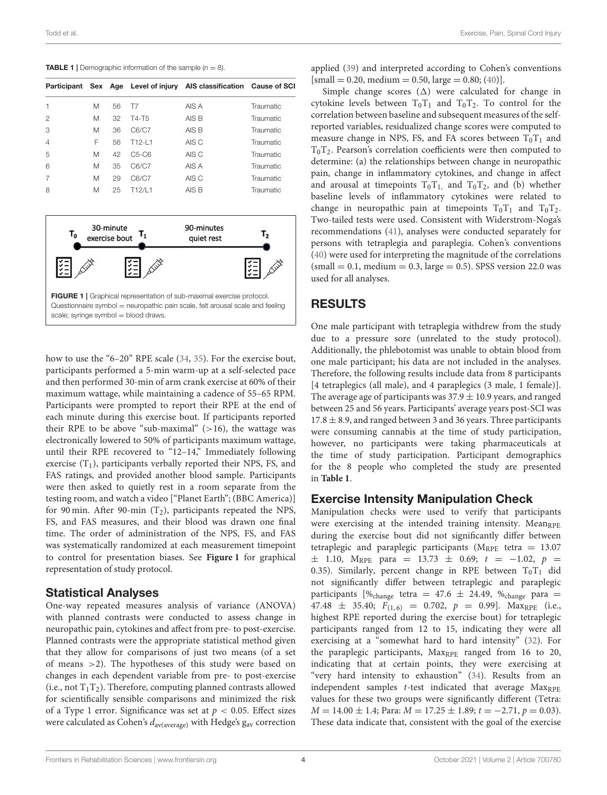<span id="page-3-1"></span>**TABLE 1** | Demographic information of the sample  $(n = 8)$ .

|                |   |    |                     | Participant Sex Age Level of injury AIS classification Cause of SCI |           |
|----------------|---|----|---------------------|---------------------------------------------------------------------|-----------|
|                | M | 56 | T7                  | AIS A                                                               | Traumatic |
| 2              | M | 32 | T4-T5               | AIS B                                                               | Traumatic |
| 3              | M | 36 | C6/C7               | AIS B                                                               | Traumatic |
| $\overline{4}$ | F | 56 | T <sub>12</sub> -11 | AIS C                                                               | Traumatic |
| 5              | M | 42 | $C5-C6$             | AIS C                                                               | Traumatic |
| 6              | M | 35 | C6/C7               | AIS A                                                               | Traumatic |
| 7              | M | 29 | C6/C7               | AIS C                                                               | Traumatic |
| 8              | M | 25 | T12/I 1             | AIS B                                                               | Traumatic |



<span id="page-3-0"></span>how to use the "6–20" RPE scale [\(34,](#page-9-32) [35\)](#page-9-33). For the exercise bout, participants performed a 5-min warm-up at a self-selected pace and then performed 30-min of arm crank exercise at 60% of their maximum wattage, while maintaining a cadence of 55–65 RPM. Participants were prompted to report their RPE at the end of each minute during this exercise bout. If participants reported their RPE to be above "sub-maximal"  $(>16)$ , the wattage was electronically lowered to 50% of participants maximum wattage, until their RPE recovered to "12–14," Immediately following exercise  $(T_1)$ , participants verbally reported their NPS, FS, and FAS ratings, and provided another blood sample. Participants were then asked to quietly rest in a room separate from the testing room, and watch a video ["Planet Earth"; (BBC America)] for 90 min. After 90-min  $(T_2)$ , participants repeated the NPS, FS, and FAS measures, and their blood was drawn one final time. The order of administration of the NPS, FS, and FAS was systematically randomized at each measurement timepoint to control for presentation biases. See **[Figure 1](#page-3-0)** for graphical representation of study protocol.

#### Statistical Analyses

One-way repeated measures analysis of variance (ANOVA) with planned contrasts were conducted to assess change in neuropathic pain, cytokines and affect from pre- to post-exercise. Planned contrasts were the appropriate statistical method given that they allow for comparisons of just two means (of a set of means >2). The hypotheses of this study were based on changes in each dependent variable from pre- to post-exercise (i.e., not  $T_1T_2$ ). Therefore, computing planned contrasts allowed for scientifically sensible comparisons and minimized the risk of a Type 1 error. Significance was set at  $p < 0.05$ . Effect sizes were calculated as Cohen's  $d_{\text{av}(\text{average})}$  with Hedge's  $g_{\text{av}}$  correction

applied [\(39\)](#page-10-1) and interpreted according to Cohen's conventions  $[small = 0.20, medium = 0.50, large = 0.80; (40)].$  $[small = 0.20, medium = 0.50, large = 0.80; (40)].$  $[small = 0.20, medium = 0.50, large = 0.80; (40)].$ 

Simple change scores  $(\Delta)$  were calculated for change in cytokine levels between  $T_0T_1$  and  $T_0T_2$ . To control for the correlation between baseline and subsequent measures of the selfreported variables, residualized change scores were computed to measure change in NPS, FS, and FA scores between  $T_0T_1$  and  $T_0T_2$ . Pearson's correlation coefficients were then computed to determine: (a) the relationships between change in neuropathic pain, change in inflammatory cytokines, and change in affect and arousal at timepoints  $T_0T_1$ , and  $T_0T_2$ , and (b) whether baseline levels of inflammatory cytokines were related to change in neuropathic pain at timepoints  $T_0T_1$  and  $T_0T_2$ . Two-tailed tests were used. Consistent with Widerstrom-Noga's recommendations [\(41\)](#page-10-3), analyses were conducted separately for persons with tetraplegia and paraplegia. Cohen's conventions [\(40\)](#page-10-2) were used for interpreting the magnitude of the correlations  $(small = 0.1, medium = 0.3, large = 0.5)$ . SPSS version 22.0 was used for all analyses.

### RESULTS

One male participant with tetraplegia withdrew from the study due to a pressure sore (unrelated to the study protocol). Additionally, the phlebotomist was unable to obtain blood from one male participant; his data are not included in the analyses. Therefore, the following results include data from 8 participants [4 tetraplegics (all male), and 4 paraplegics (3 male, 1 female)]. The average age of participants was  $37.9 \pm 10.9$  years, and ranged between 25 and 56 years. Participants' average years post-SCI was  $17.8 \pm 8.9$ , and ranged between 3 and 36 years. Three participants were consuming cannabis at the time of study participation, however, no participants were taking pharmaceuticals at the time of study participation. Participant demographics for the 8 people who completed the study are presented in **[Table 1](#page-3-1)**.

### Exercise Intensity Manipulation Check

Manipulation checks were used to verify that participants were exercising at the intended training intensity. MeanRPE during the exercise bout did not significantly differ between tetraplegic and paraplegic participants ( $M_{RPE}$  tetra = 13.07  $\pm$  1.10, M<sub>RPE</sub> para = 13.73  $\pm$  0.69;  $t = -1.02$ ,  $p =$ 0.35). Similarly, percent change in RPE between  $T_0T_1$  did not significantly differ between tetraplegic and paraplegic participants  $[\%_{change}$  tetra = 47.6  $\pm$  24.49,  $\%_{change}$  para = 47.48  $\pm$  35.40;  $F_{(1,6)} = 0.702$ ,  $p = 0.99$ ]. Max<sub>RPE</sub> (i.e., highest RPE reported during the exercise bout) for tetraplegic participants ranged from 12 to 15, indicating they were all exercising at a "somewhat hard to hard intensity" [\(32\)](#page-9-30). For the paraplegic participants,  $Max_{RPE}$  ranged from 16 to 20, indicating that at certain points, they were exercising at "very hard intensity to exhaustion" [\(34\)](#page-9-32). Results from an independent samples  $t$ -test indicated that average  $Max_{RPE}$ values for these two groups were significantly different (Tetra:  $M = 14.00 \pm 1.4$ ; Para:  $M = 17.25 \pm 1.89$ ;  $t = -2.71$ ,  $p = 0.03$ ). These data indicate that, consistent with the goal of the exercise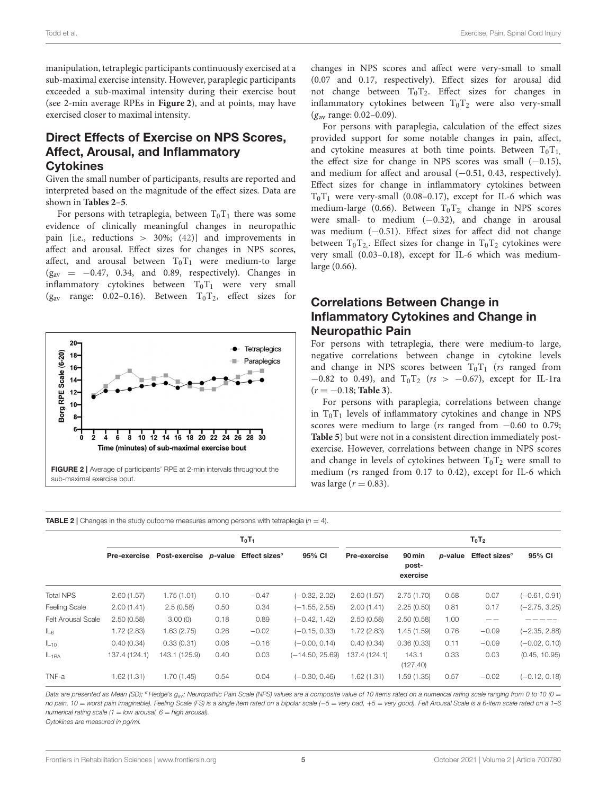manipulation, tetraplegic participants continuously exercised at a sub-maximal exercise intensity. However, paraplegic participants exceeded a sub-maximal intensity during their exercise bout (see 2-min average RPEs in **[Figure 2](#page-4-0)**), and at points, may have exercised closer to maximal intensity.

# Direct Effects of Exercise on NPS Scores, Affect, Arousal, and Inflammatory **Cytokines**

Given the small number of participants, results are reported and interpreted based on the magnitude of the effect sizes. Data are shown in **[Tables 2](#page-4-1)**–**[5](#page-6-0)**.

For persons with tetraplegia, between  $T_0T_1$  there was some evidence of clinically meaningful changes in neuropathic pain [i.e., reductions > 30%; [\(42\)](#page-10-4)] and improvements in affect and arousal. Effect sizes for changes in NPS scores, affect, and arousal between  $T_0T_1$  were medium-to large  $(g_{av} = -0.47, 0.34, and 0.89, respectively)$ . Changes in inflammatory cytokines between  $T_0T_1$  were very small ( $g_{av}$  range: 0.02–0.16). Between  $T_0T_2$ , effect sizes for



changes in NPS scores and affect were very-small to small (0.07 and 0.17, respectively). Effect sizes for arousal did not change between  $T_0T_2$ . Effect sizes for changes in inflammatory cytokines between  $T_0T_2$  were also very-small  $(g_{av}$  range: 0.02–0.09).

For persons with paraplegia, calculation of the effect sizes provided support for some notable changes in pain, affect, and cytokine measures at both time points. Between  $T_0T_{1}$ , the effect size for change in NPS scores was small  $(-0.15)$ , and medium for affect and arousal (-0.51, 0.43, respectively). Effect sizes for change in inflammatory cytokines between  $T_0$ T<sub>1</sub> were very-small (0.08–0.17), except for IL-6 which was medium-large (0.66). Between  $T_0T_2$ , change in NPS scores were small- to medium  $(-0.32)$ , and change in arousal was medium (-0.51). Effect sizes for affect did not change between  $T_0T_2$ . Effect sizes for change in  $T_0T_2$  cytokines were very small (0.03–0.18), except for IL-6 which was mediumlarge (0.66).

# Correlations Between Change in Inflammatory Cytokines and Change in Neuropathic Pain

For persons with tetraplegia, there were medium-to large, negative correlations between change in cytokine levels and change in NPS scores between  $T_0T_1$  (rs ranged from  $-0.82$  to 0.49), and T<sub>0</sub>T<sub>2</sub> (rs > -0.67), except for IL-1ra (r = −0.18; **[Table 3](#page-5-0)**).

For persons with paraplegia, correlations between change in  $T_0T_1$  levels of inflammatory cytokines and change in NPS scores were medium to large (rs ranged from −0.60 to 0.79; **[Table 5](#page-6-0)**) but were not in a consistent direction immediately postexercise. However, correlations between change in NPS scores and change in levels of cytokines between  $T_0T_2$  were small to medium (rs ranged from 0.17 to 0.42), except for IL-6 which was large ( $r = 0.83$ ).

<span id="page-4-1"></span><span id="page-4-0"></span>**TABLE 2** | Changes in the study outcome measures among persons with tetraplegia ( $n = 4$ ).

|                           | $T_0T_1$            |                       |      |                       |                   | $T_0T_2$            |                             |         |                       |                 |
|---------------------------|---------------------|-----------------------|------|-----------------------|-------------------|---------------------|-----------------------------|---------|-----------------------|-----------------|
|                           | <b>Pre-exercise</b> | Post-exercise p-value |      | Effect sizes $\sigma$ | 95% CI            | <b>Pre-exercise</b> | 90 min<br>post-<br>exercise | p-value | Effect sizes $\sigma$ | 95% CI          |
| <b>Total NPS</b>          | 2.60(1.57)          | 1.75(1.01)            | 0.10 | $-0.47$               | $(-0.32, 2.02)$   | 2.60(1.57)          | 2.75(1.70)                  | 0.58    | 0.07                  | $(-0.61, 0.91)$ |
| <b>Feeling Scale</b>      | 2.00(1.41)          | 2.5(0.58)             | 0.50 | 0.34                  | $(-1.55, 2.55)$   | 2.00(1.41)          | 2.25(0.50)                  | 0.81    | 0.17                  | $(-2.75, 3.25)$ |
| <b>Felt Arousal Scale</b> | 2.50(0.58)          | 3.00(0)               | 0.18 | 0.89                  | $(-0.42, 1.42)$   | 2.50(0.58)          | 2.50(0.58)                  | 1.00    |                       |                 |
| $IL_6$                    | 1.72(2.83)          | 1.63(2.75)            | 0.26 | $-0.02$               | $(-0.15, 0.33)$   | 1.72(2.83)          | 1.45(1.59)                  | 0.76    | $-0.09$               | $(-2.35, 2.88)$ |
| $IL_{10}$                 | 0.40(0.34)          | 0.33(0.31)            | 0.06 | $-0.16$               | $(-0.00, 0.14)$   | 0.40(0.34)          | 0.36(0.33)                  | 0.11    | $-0.09$               | $(-0.02, 0.10)$ |
| IL <sub>1RA</sub>         | 137.4 (124.1)       | 143.1 (125.9)         | 0.40 | 0.03                  | $(-14.50, 25.69)$ | 137.4 (124.1)       | 143.1<br>(127.40)           | 0.33    | 0.03                  | (0.45, 10.95)   |
| TNF-a                     | 1.62(1.31)          | 1.70(1.45)            | 0.54 | 0.04                  | $(-0.30, 0.46)$   | 1.62(1.31)          | 1.59(1.35)                  | 0.57    | $-0.02$               | $(-0.12, 0.18)$ |

Data are presented as Mean (SD); <sup>σ</sup>Hedge's g<sub>av</sub>; Neuropathic Pain Scale (NPS) values are a composite value of 10 items rated on a numerical rating scale ranging from 0 to 10 (0 = no pain, 10 = worst pain imaginable). Feeling Scale (FS) is a single item rated on a bipolar scale (-5 = very bad, +5 = very good). Felt Arousal Scale is a 6-item scale rated on a 1-6 numerical rating scale (1 = low arousal,  $6$  = high arousal).

Cytokines are measured in pg/ml.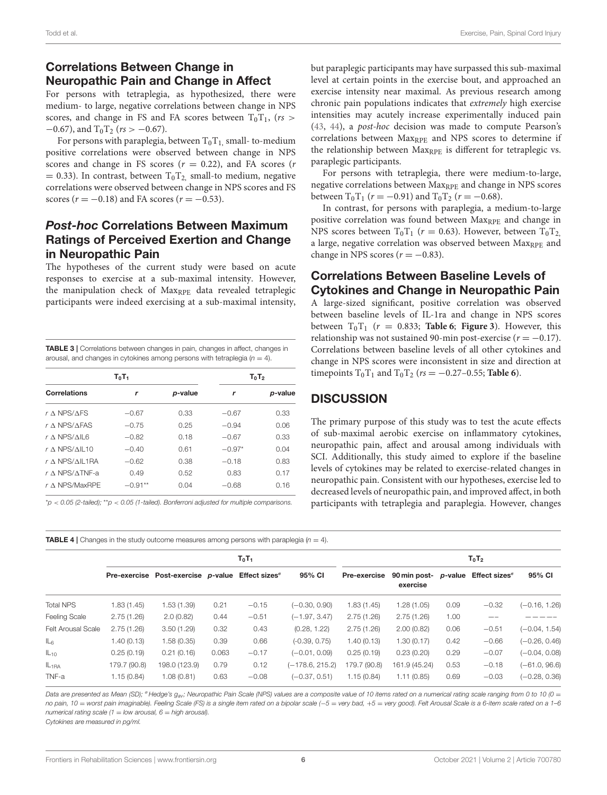# Correlations Between Change in Neuropathic Pain and Change in Affect

For persons with tetraplegia, as hypothesized, there were medium- to large, negative correlations between change in NPS scores, and change in FS and FA scores between  $T_0T_1$ , (rs >  $-0.67$ ), and T<sub>0</sub>T<sub>2</sub> (rs > -0.67).

For persons with paraplegia, between  $T_0T_1$  small-to-medium positive correlations were observed between change in NPS scores and change in FS scores ( $r = 0.22$ ), and FA scores ( $r = 0.22$ )  $= 0.33$ ). In contrast, between T<sub>0</sub>T<sub>2</sub>, small-to medium, negative correlations were observed between change in NPS scores and FS scores ( $r = -0.18$ ) and FA scores ( $r = -0.53$ ).

# Post-hoc Correlations Between Maximum Ratings of Perceived Exertion and Change in Neuropathic Pain

The hypotheses of the current study were based on acute responses to exercise at a sub-maximal intensity. However, the manipulation check of Max<sub>RPE</sub> data revealed tetraplegic participants were indeed exercising at a sub-maximal intensity,

<span id="page-5-0"></span>TABLE 3 | Correlations between changes in pain, changes in affect, changes in arousal, and changes in cytokines among persons with tetraplegia ( $n = 4$ ).

|                                | $T_0T_2$  |         |          |                 |
|--------------------------------|-----------|---------|----------|-----------------|
| <b>Correlations</b>            | r         | p-value | r        | <i>p</i> -value |
| $r \wedge NPS/AFS$             | $-0.67$   | 0.33    | $-0.67$  | 0.33            |
| $r \wedge NPS/AFAS$            | $-0.75$   | 0.25    | $-0.94$  | 0.06            |
| $r \wedge NPS/AII 6$           | $-0.82$   | 0.18    | $-0.67$  | 0.33            |
| $r \wedge$ NPS/AIL10           | $-0.40$   | 0.61    | $-0.97*$ | 0.04            |
| $r \wedge NPS/AII$ 1RA         | $-0.62$   | 0.38    | $-0.18$  | 0.83            |
| $r \wedge$ NPS/ $\wedge$ TNF-a | 0.49      | 0.52    | 0.83     | 0.17            |
| $r \wedge$ NPS/MaxRPF          | $-0.91**$ | 0.04    | $-0.68$  | 0.16            |

 $*p < 0.05$  (2-tailed); \*\*p < 0.05 (1-tailed). Bonferroni adjusted for multiple comparisons.

but paraplegic participants may have surpassed this sub-maximal level at certain points in the exercise bout, and approached an exercise intensity near maximal. As previous research among chronic pain populations indicates that extremely high exercise intensities may acutely increase experimentally induced pain [\(43,](#page-10-5) [44\)](#page-10-6), a post-hoc decision was made to compute Pearson's correlations between Max<sub>RPE</sub> and NPS scores to determine if the relationship between  $Max_{RPE}$  is different for tetraplegic vs. paraplegic participants.

For persons with tetraplegia, there were medium-to-large, negative correlations between Max<sub>RPE</sub> and change in NPS scores between  $T_0T_1$  ( $r = -0.91$ ) and  $T_0T_2$  ( $r = -0.68$ ).

In contrast, for persons with paraplegia, a medium-to-large positive correlation was found between Max<sub>RPE</sub> and change in NPS scores between  $T_0T_1$  ( $r = 0.63$ ). However, between  $T_0T_2$ a large, negative correlation was observed between Max<sub>RPE</sub> and change in NPS scores  $(r = -0.83)$ .

# Correlations Between Baseline Levels of Cytokines and Change in Neuropathic Pain

A large-sized significant, positive correlation was observed between baseline levels of IL-1ra and change in NPS scores between  $T_0T_1$  ( $r = 0.833$ ; **[Table 6](#page-6-1)**; **[Figure 3](#page-6-2)**). However, this relationship was not sustained 90-min post-exercise ( $r = -0.17$ ). Correlations between baseline levels of all other cytokines and change in NPS scores were inconsistent in size and direction at timepoints  $T_0T_1$  and  $T_0T_2$  ( $rs = -0.27-0.55$ ; **[Table 6](#page-6-1)**).

## **DISCUSSION**

The primary purpose of this study was to test the acute effects of sub-maximal aerobic exercise on inflammatory cytokines, neuropathic pain, affect and arousal among individuals with SCI. Additionally, this study aimed to explore if the baseline levels of cytokines may be related to exercise-related changes in neuropathic pain. Consistent with our hypotheses, exercise led to decreased levels of neuropathic pain, and improved affect, in both participants with tetraplegia and paraplegia. However, changes

**TABLE 4** | Changes in the study outcome measures among persons with paraplegia  $(n = 4)$ .  $T_0T_1$  to the contract of the contract of the contract of the contract of the contract of the contract of the contract of the contract of the contract of the contract of the contract of the contract of the contract of t Pre-exercise Post-exercise p-value Effect sizes<sup>®</sup> 95% CI Pre-exercise exercise 90 min post- p-value Effect sizes<sup>®</sup> 95% CI Total NPS 1.83 (1.45) 1.53 (1.39) 0.21 −0.15 (−0.30, 0.90) 1.83 (1.45) 1.28 (1.05) 0.09 −0.32 (−0.16, 1.26) Feeling Scale 2.75 (1.26) 2.0 (0.82) 0.44 −0.51 (−1.97, 3.47) 2.75 (1.26) 2.75 (1.26) 1.00 —– ————– Felt Arousal Scale 2.75 (1.26) 3.50 (1.29) 0.32 0.43 (0.28, 1.22) 2.75 (1.26) 2.00 (0.82) 0.06 −0.51 (−0.04, 1.54) IL<sup>6</sup> 1.40 (0.13) 1.58 (0.35) 0.39 0.66 (-0.39, 0.75) 1.40 (0.13) 1.30 (0.17) 0.42 −0.66 (−0.26, 0.46) IL<sup>10</sup> 0.25 (0.19) 0.21 (0.16) 0.063 −0.17 (−0.01, 0.09) 0.25 (0.19) 0.23 (0.20) 0.29 −0.07 (−0.04, 0.08) IL1RA 179.7 (90.8) 198.0 (123.9) 0.79 0.12 (−178.6, 215.2) 179.7 (90.8) 161.9 (45.24) 0.53 −0.18 (−61.0, 96.6) TNF-a 1.15 (0.84) 1.08 (0.81) 0.63 −0.08 (−0.37, 0.51) 1.15 (0.84) 1.11 (0.85) 0.69 −0.03 (−0.28, 0.36)

Data are presented as Mean (SD); <sup>σ</sup>Hedge's g<sub>av</sub>; Neuropathic Pain Scale (NPS) values are a composite value of 10 items rated on a numerical rating scale ranging from 0 to 10 (0 = no pain, 10 = worst pain imaginable). Feeling Scale (FS) is a single item rated on a bipolar scale (-5 = very bad, +5 = very good). Felt Arousal Scale is a 6-item scale rated on a 1-6 numerical rating scale (1 = low arousal, 6 = high arousal). Cytokines are measured in pg/ml.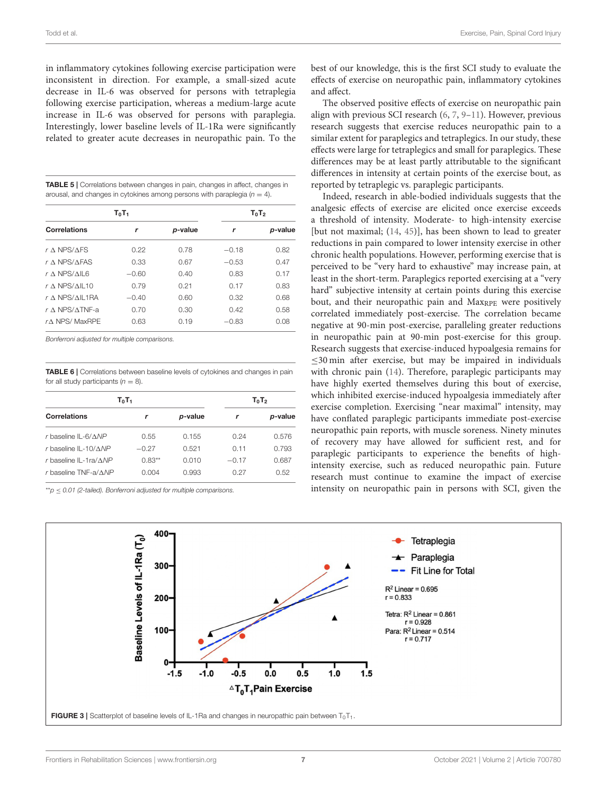in inflammatory cytokines following exercise participation were inconsistent in direction. For example, a small-sized acute decrease in IL-6 was observed for persons with tetraplegia following exercise participation, whereas a medium-large acute increase in IL-6 was observed for persons with paraplegia. Interestingly, lower baseline levels of IL-1Ra were significantly related to greater acute decreases in neuropathic pain. To the

<span id="page-6-0"></span>

| <b>TABLE 5</b>   Correlations between changes in pain, changes in affect, changes in |
|--------------------------------------------------------------------------------------|
| arousal, and changes in cytokines among persons with paraplegia $(n = 4)$ .          |

|                                | $T_0T_2$ |         |         |         |
|--------------------------------|----------|---------|---------|---------|
| <b>Correlations</b>            | r        | p-value | r       | p-value |
| $r \wedge NPS/AFS$             | 0.22     | 0.78    | $-0.18$ | 0.82    |
| $r \wedge NPS/AFAS$            | 0.33     | 0.67    | $-0.53$ | 0.47    |
| $r \wedge NPS/MLB$             | $-0.60$  | 0.40    | 0.83    | 0.17    |
| $r \wedge NPS/ML10$            | 0.79     | 0.21    | 0.17    | 0.83    |
| $r \wedge NPS/MLL$ 1RA         | $-0.40$  | 0.60    | 0.32    | 0.68    |
| $r \wedge$ NPS/ $\wedge$ TNF-a | 0.70     | 0.30    | 0.42    | 0.58    |
| $rA$ NPS/MaxRPE                | 0.63     | 0.19    | $-0.83$ | 0.08    |

Bonferroni adjusted for multiple comparisons.

<span id="page-6-1"></span>TABLE 6 | Correlations between baseline levels of cytokines and changes in pain for all study participants ( $n = 8$ ).

| $T_0T_1$                           | $T_0T_2$ |         |         |         |  |
|------------------------------------|----------|---------|---------|---------|--|
| <b>Correlations</b>                | r        | p-value |         | p-value |  |
| $r$ baseline IL-6/ $\triangle NP$  | 0.55     | 0.155   | 0.24    | 0.576   |  |
| $r$ baseline IL-10/ANP             | $-0.27$  | 0.521   | 0.11    | 0.793   |  |
| r baseline IL-1ra/ $\triangle NP$  | $0.83**$ | 0.010   | $-0.17$ | 0.687   |  |
| $r$ baseline TNF-a/ $\triangle NP$ | 0.004    | 0.993   | 0.27    | 0.52    |  |

 $*p \leq 0.01$  (2-tailed). Bonferroni adjusted for multiple comparisons.

best of our knowledge, this is the first SCI study to evaluate the effects of exercise on neuropathic pain, inflammatory cytokines and affect.

The observed positive effects of exercise on neuropathic pain align with previous SCI research [\(6,](#page-9-5) [7,](#page-9-6) [9](#page-9-8)[–11\)](#page-9-10). However, previous research suggests that exercise reduces neuropathic pain to a similar extent for paraplegics and tetraplegics. In our study, these effects were large for tetraplegics and small for paraplegics. These differences may be at least partly attributable to the significant differences in intensity at certain points of the exercise bout, as reported by tetraplegic vs. paraplegic participants.

Indeed, research in able-bodied individuals suggests that the analgesic effects of exercise are elicited once exercise exceeds a threshold of intensity. Moderate- to high-intensity exercise [but not maximal; [\(14,](#page-9-36) [45\)](#page-10-7)], has been shown to lead to greater reductions in pain compared to lower intensity exercise in other chronic health populations. However, performing exercise that is perceived to be "very hard to exhaustive" may increase pain, at least in the short-term. Paraplegics reported exercising at a "very hard" subjective intensity at certain points during this exercise bout, and their neuropathic pain and Max<sub>RPE</sub> were positively correlated immediately post-exercise. The correlation became negative at 90-min post-exercise, paralleling greater reductions in neuropathic pain at 90-min post-exercise for this group. Research suggests that exercise-induced hypoalgesia remains for ≤30 min after exercise, but may be impaired in individuals with chronic pain [\(14\)](#page-9-36). Therefore, paraplegic participants may have highly exerted themselves during this bout of exercise, which inhibited exercise-induced hypoalgesia immediately after exercise completion. Exercising "near maximal" intensity, may have conflated paraplegic participants immediate post-exercise neuropathic pain reports, with muscle soreness. Ninety minutes of recovery may have allowed for sufficient rest, and for paraplegic participants to experience the benefits of highintensity exercise, such as reduced neuropathic pain. Future research must continue to examine the impact of exercise intensity on neuropathic pain in persons with SCI, given the

<span id="page-6-2"></span>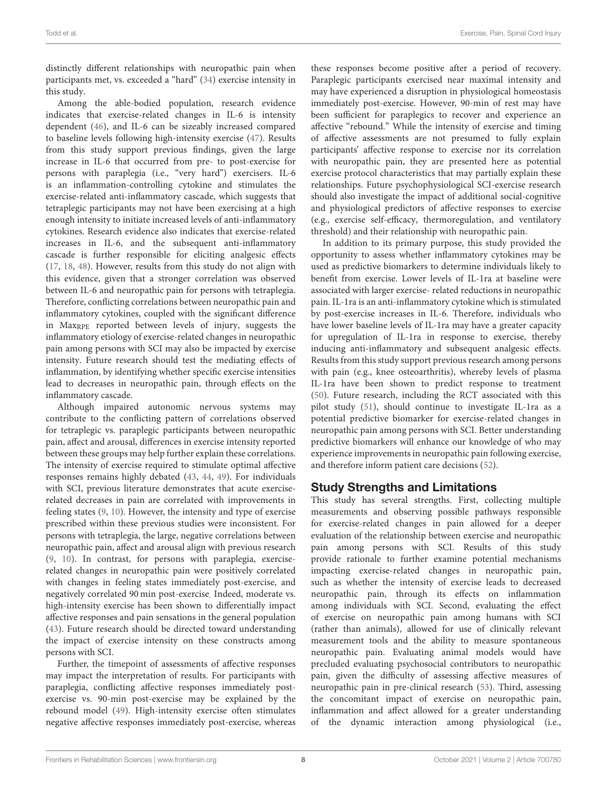distinctly different relationships with neuropathic pain when participants met, vs. exceeded a "hard" [\(34\)](#page-9-32) exercise intensity in this study.

Among the able-bodied population, research evidence indicates that exercise-related changes in IL-6 is intensity dependent [\(46\)](#page-10-8), and IL-6 can be sizeably increased compared to baseline levels following high-intensity exercise [\(47\)](#page-10-9). Results from this study support previous findings, given the large increase in IL-6 that occurred from pre- to post-exercise for persons with paraplegia (i.e., "very hard") exercisers. IL-6 is an inflammation-controlling cytokine and stimulates the exercise-related anti-inflammatory cascade, which suggests that tetraplegic participants may not have been exercising at a high enough intensity to initiate increased levels of anti-inflammatory cytokines. Research evidence also indicates that exercise-related increases in IL-6, and the subsequent anti-inflammatory cascade is further responsible for eliciting analgesic effects [\(17,](#page-9-15) [18,](#page-9-16) [48\)](#page-10-10). However, results from this study do not align with this evidence, given that a stronger correlation was observed between IL-6 and neuropathic pain for persons with tetraplegia. Therefore, conflicting correlations between neuropathic pain and inflammatory cytokines, coupled with the significant difference in Max<sub>RPE</sub> reported between levels of injury, suggests the inflammatory etiology of exercise-related changes in neuropathic pain among persons with SCI may also be impacted by exercise intensity. Future research should test the mediating effects of inflammation, by identifying whether specific exercise intensities lead to decreases in neuropathic pain, through effects on the inflammatory cascade.

Although impaired autonomic nervous systems may contribute to the conflicting pattern of correlations observed for tetraplegic vs. paraplegic participants between neuropathic pain, affect and arousal, differences in exercise intensity reported between these groups may help further explain these correlations. The intensity of exercise required to stimulate optimal affective responses remains highly debated [\(43,](#page-10-5) [44,](#page-10-6) [49\)](#page-10-11). For individuals with SCI, previous literature demonstrates that acute exerciserelated decreases in pain are correlated with improvements in feeling states [\(9,](#page-9-8) [10\)](#page-9-9). However, the intensity and type of exercise prescribed within these previous studies were inconsistent. For persons with tetraplegia, the large, negative correlations between neuropathic pain, affect and arousal align with previous research [\(9,](#page-9-8) [10\)](#page-9-9). In contrast, for persons with paraplegia, exerciserelated changes in neuropathic pain were positively correlated with changes in feeling states immediately post-exercise, and negatively correlated 90 min post-exercise. Indeed, moderate vs. high-intensity exercise has been shown to differentially impact affective responses and pain sensations in the general population [\(43\)](#page-10-5). Future research should be directed toward understanding the impact of exercise intensity on these constructs among persons with SCI.

Further, the timepoint of assessments of affective responses may impact the interpretation of results. For participants with paraplegia, conflicting affective responses immediately postexercise vs. 90-min post-exercise may be explained by the rebound model [\(49\)](#page-10-11). High-intensity exercise often stimulates negative affective responses immediately post-exercise, whereas these responses become positive after a period of recovery. Paraplegic participants exercised near maximal intensity and may have experienced a disruption in physiological homeostasis immediately post-exercise. However, 90-min of rest may have been sufficient for paraplegics to recover and experience an affective "rebound." While the intensity of exercise and timing of affective assessments are not presumed to fully explain participants' affective response to exercise nor its correlation with neuropathic pain, they are presented here as potential exercise protocol characteristics that may partially explain these relationships. Future psychophysiological SCI-exercise research should also investigate the impact of additional social-cognitive and physiological predictors of affective responses to exercise (e.g., exercise self-efficacy, thermoregulation, and ventilatory threshold) and their relationship with neuropathic pain.

In addition to its primary purpose, this study provided the opportunity to assess whether inflammatory cytokines may be used as predictive biomarkers to determine individuals likely to benefit from exercise. Lower levels of IL-1ra at baseline were associated with larger exercise- related reductions in neuropathic pain. IL-1ra is an anti-inflammatory cytokine which is stimulated by post-exercise increases in IL-6. Therefore, individuals who have lower baseline levels of IL-1ra may have a greater capacity for upregulation of IL-1ra in response to exercise, thereby inducing anti-inflammatory and subsequent analgesic effects. Results from this study support previous research among persons with pain (e.g., knee osteoarthritis), whereby levels of plasma IL-1ra have been shown to predict response to treatment [\(50\)](#page-10-12). Future research, including the RCT associated with this pilot study [\(51\)](#page-10-13), should continue to investigate IL-1ra as a potential predictive biomarker for exercise-related changes in neuropathic pain among persons with SCI. Better understanding predictive biomarkers will enhance our knowledge of who may experience improvements in neuropathic pain following exercise, and therefore inform patient care decisions [\(52\)](#page-10-14).

# Study Strengths and Limitations

This study has several strengths. First, collecting multiple measurements and observing possible pathways responsible for exercise-related changes in pain allowed for a deeper evaluation of the relationship between exercise and neuropathic pain among persons with SCI. Results of this study provide rationale to further examine potential mechanisms impacting exercise-related changes in neuropathic pain, such as whether the intensity of exercise leads to decreased neuropathic pain, through its effects on inflammation among individuals with SCI. Second, evaluating the effect of exercise on neuropathic pain among humans with SCI (rather than animals), allowed for use of clinically relevant measurement tools and the ability to measure spontaneous neuropathic pain. Evaluating animal models would have precluded evaluating psychosocial contributors to neuropathic pain, given the difficulty of assessing affective measures of neuropathic pain in pre-clinical research [\(53\)](#page-10-15). Third, assessing the concomitant impact of exercise on neuropathic pain, inflammation and affect allowed for a greater understanding of the dynamic interaction among physiological (i.e.,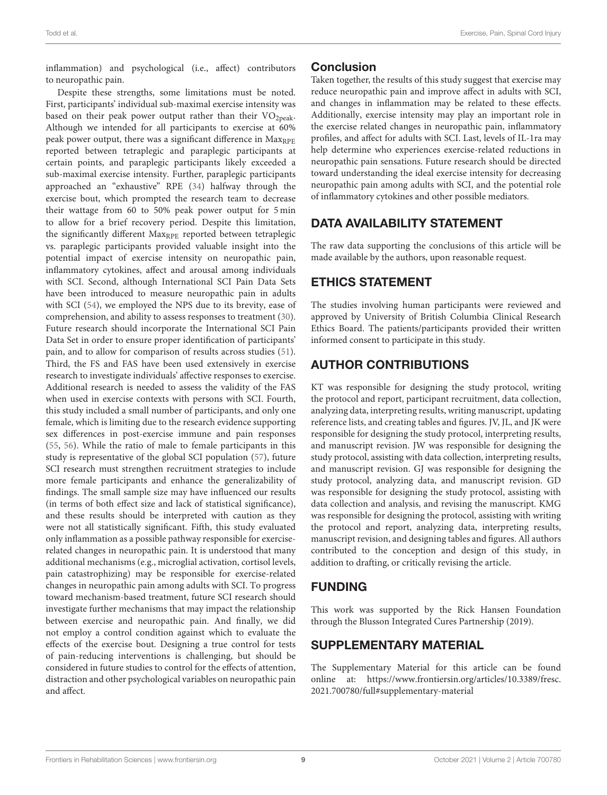inflammation) and psychological (i.e., affect) contributors to neuropathic pain.

Despite these strengths, some limitations must be noted. First, participants' individual sub-maximal exercise intensity was based on their peak power output rather than their  $VO<sub>2peak</sub>$ . Although we intended for all participants to exercise at 60% peak power output, there was a significant difference in Max<sub>RPE</sub> reported between tetraplegic and paraplegic participants at certain points, and paraplegic participants likely exceeded a sub-maximal exercise intensity. Further, paraplegic participants approached an "exhaustive" RPE [\(34\)](#page-9-32) halfway through the exercise bout, which prompted the research team to decrease their wattage from 60 to 50% peak power output for 5 min to allow for a brief recovery period. Despite this limitation, the significantly different Max<sub>RPE</sub> reported between tetraplegic vs. paraplegic participants provided valuable insight into the potential impact of exercise intensity on neuropathic pain, inflammatory cytokines, affect and arousal among individuals with SCI. Second, although International SCI Pain Data Sets have been introduced to measure neuropathic pain in adults with SCI [\(54\)](#page-10-16), we employed the NPS due to its brevity, ease of comprehension, and ability to assess responses to treatment [\(30\)](#page-9-28). Future research should incorporate the International SCI Pain Data Set in order to ensure proper identification of participants' pain, and to allow for comparison of results across studies [\(51\)](#page-10-13). Third, the FS and FAS have been used extensively in exercise research to investigate individuals' affective responses to exercise. Additional research is needed to assess the validity of the FAS when used in exercise contexts with persons with SCI. Fourth, this study included a small number of participants, and only one female, which is limiting due to the research evidence supporting sex differences in post-exercise immune and pain responses [\(55,](#page-10-17) [56\)](#page-10-18). While the ratio of male to female participants in this study is representative of the global SCI population [\(57\)](#page-10-19), future SCI research must strengthen recruitment strategies to include more female participants and enhance the generalizability of findings. The small sample size may have influenced our results (in terms of both effect size and lack of statistical significance), and these results should be interpreted with caution as they were not all statistically significant. Fifth, this study evaluated only inflammation as a possible pathway responsible for exerciserelated changes in neuropathic pain. It is understood that many additional mechanisms (e.g., microglial activation, cortisol levels, pain catastrophizing) may be responsible for exercise-related changes in neuropathic pain among adults with SCI. To progress toward mechanism-based treatment, future SCI research should investigate further mechanisms that may impact the relationship between exercise and neuropathic pain. And finally, we did not employ a control condition against which to evaluate the effects of the exercise bout. Designing a true control for tests of pain-reducing interventions is challenging, but should be considered in future studies to control for the effects of attention, distraction and other psychological variables on neuropathic pain and affect.

#### **Conclusion**

Taken together, the results of this study suggest that exercise may reduce neuropathic pain and improve affect in adults with SCI, and changes in inflammation may be related to these effects. Additionally, exercise intensity may play an important role in the exercise related changes in neuropathic pain, inflammatory profiles, and affect for adults with SCI. Last, levels of IL-1ra may help determine who experiences exercise-related reductions in neuropathic pain sensations. Future research should be directed toward understanding the ideal exercise intensity for decreasing neuropathic pain among adults with SCI, and the potential role of inflammatory cytokines and other possible mediators.

# DATA AVAILABILITY STATEMENT

The raw data supporting the conclusions of this article will be made available by the authors, upon reasonable request.

# ETHICS STATEMENT

The studies involving human participants were reviewed and approved by University of British Columbia Clinical Research Ethics Board. The patients/participants provided their written informed consent to participate in this study.

# AUTHOR CONTRIBUTIONS

KT was responsible for designing the study protocol, writing the protocol and report, participant recruitment, data collection, analyzing data, interpreting results, writing manuscript, updating reference lists, and creating tables and figures. JV, JL, and JK were responsible for designing the study protocol, interpreting results, and manuscript revision. JW was responsible for designing the study protocol, assisting with data collection, interpreting results, and manuscript revision. GJ was responsible for designing the study protocol, analyzing data, and manuscript revision. GD was responsible for designing the study protocol, assisting with data collection and analysis, and revising the manuscript. KMG was responsible for designing the protocol, assisting with writing the protocol and report, analyzing data, interpreting results, manuscript revision, and designing tables and figures. All authors contributed to the conception and design of this study, in addition to drafting, or critically revising the article.

# FUNDING

This work was supported by the Rick Hansen Foundation through the Blusson Integrated Cures Partnership (2019).

# SUPPLEMENTARY MATERIAL

The Supplementary Material for this article can be found [online at: https://www.frontiersin.org/articles/10.3389/fresc.](https://www.frontiersin.org/articles/10.3389/fresc.2021.700780/full#supplementary-material) 2021.700780/full#supplementary-material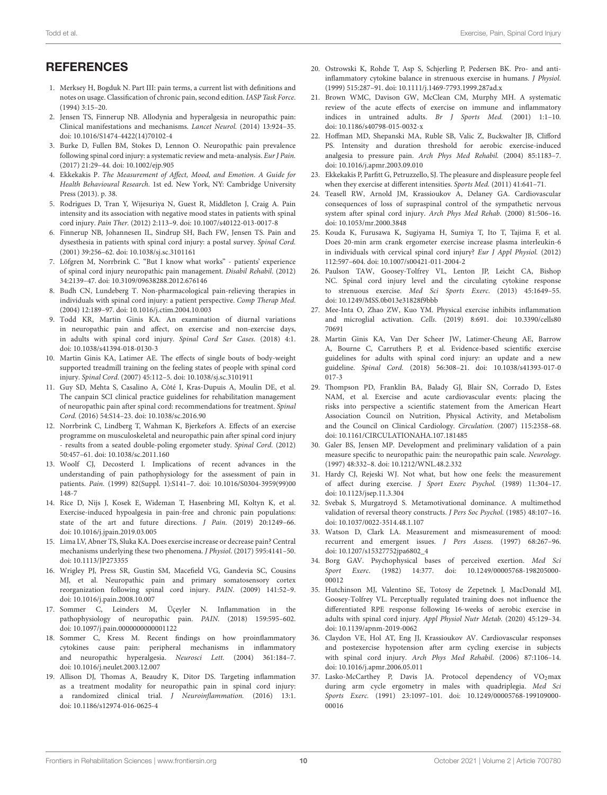- <span id="page-9-0"></span>1. Merksey H, Bogduk N. Part III: pain terms, a current list with definitions and notes on usage. Classification of chronic pain, second edition. IASP Task Force.  $(1994)$  3:15–20.
- <span id="page-9-1"></span>2. Jensen TS, Finnerup NB. Allodynia and hyperalgesia in neuropathic pain: Clinical manifestations and mechanisms. Lancet Neurol. (2014) 13:924–35. doi: [10.1016/S1474-4422\(14\)70102-4](https://doi.org/10.1016/S1474-4422(14)70102-4)
- <span id="page-9-2"></span>3. Burke D, Fullen BM, Stokes D, Lennon O. Neuropathic pain prevalence following spinal cord injury: a systematic review and meta-analysis. Eur J Pain. (2017) 21:29–44. doi: [10.1002/ejp.905](https://doi.org/10.1002/ejp.905)
- <span id="page-9-3"></span>4. Ekkekakis P. The Measurement of Affect, Mood, and Emotion. A Guide for Health Behavioural Research. 1st ed. New York, NY: Cambridge University Press (2013). p. 38.
- <span id="page-9-4"></span>5. Rodrigues D, Tran Y, Wijesuriya N, Guest R, Middleton J, Craig A. Pain intensity and its association with negative mood states in patients with spinal cord injury. Pain Ther. (2012) 2:113–9. doi: [10.1007/s40122-013-0017-8](https://doi.org/10.1007/s40122-013-0017-8)
- <span id="page-9-5"></span>6. Finnerup NB, Johannesen IL, Sindrup SH, Bach FW, Jensen TS. Pain and dysesthesia in patients with spinal cord injury: a postal survey. Spinal Cord. (2001) 39:256–62. doi: [10.1038/sj.sc.3101161](https://doi.org/10.1038/sj.sc.3101161)
- <span id="page-9-6"></span>7. Löfgren M, Norrbrink C. "But I know what works" - patients' experience of spinal cord injury neuropathic pain management. Disabil Rehabil. (2012) 34:2139–47. doi: [10.3109/09638288.2012.676146](https://doi.org/10.3109/09638288.2012.676146)
- <span id="page-9-7"></span>8. Budh CN, Lundeberg T. Non-pharmacological pain-relieving therapies in individuals with spinal cord injury: a patient perspective. Comp Therap Med. (2004) 12:189–97. doi: [10.1016/j.ctim.2004.10.003](https://doi.org/10.1016/j.ctim.2004.10.003)
- <span id="page-9-8"></span>9. Todd KR, Martin Ginis KA. An examination of diurnal variations in neuropathic pain and affect, on exercise and non-exercise days, in adults with spinal cord injury. Spinal Cord Ser Cases. (2018) 4:1. doi: [10.1038/s41394-018-0130-3](https://doi.org/10.1038/s41394-018-0130-3)
- <span id="page-9-9"></span>10. Martin Ginis KA, Latimer AE. The effects of single bouts of body-weight supported treadmill training on the feeling states of people with spinal cord injury. Spinal Cord. (2007) 45:112–5. doi: [10.1038/sj.sc.3101911](https://doi.org/10.1038/sj.sc.3101911)
- <span id="page-9-10"></span>11. Guy SD, Mehta S, Casalino A, Côté I, Kras-Dupuis A, Moulin DE, et al. The canpain SCI clinical practice guidelines for rehabilitation management of neuropathic pain after spinal cord: recommendations for treatment. Spinal Cord. (2016) 54:S14–23. doi: [10.1038/sc.2016.90](https://doi.org/10.1038/sc.2016.90)
- <span id="page-9-11"></span>12. Norrbrink C, Lindberg T, Wahman K, Bjerkefors A. Effects of an exercise programme on musculoskeletal and neuropathic pain after spinal cord injury results from a seated double-poling ergometer study. Spinal Cord. (2012) 50:457–61. doi: [10.1038/sc.2011.160](https://doi.org/10.1038/sc.2011.160)
- <span id="page-9-12"></span>13. Woolf CJ, Decosterd I. Implications of recent advances in the understanding of pain pathophysiology for the assessment of pain in patients. Pain. [\(1999\) 82\(Suppl. 1\):S141–7. doi: 10.1016/S0304-3959\(99\)00](https://doi.org/10.1016/S0304-3959(99)00148-7) 148-7
- <span id="page-9-36"></span>14. Rice D, Nijs J, Kosek E, Wideman T, Hasenbring MI, Koltyn K, et al. Exercise-induced hypoalgesia in pain-free and chronic pain populations: state of the art and future directions. J Pain. (2019) 20:1249–66. doi: [10.1016/j.jpain.2019.03.005](https://doi.org/10.1016/j.jpain.2019.03.005)
- <span id="page-9-13"></span>15. Lima LV, Abner TS, Sluka KA. Does exercise increase or decrease pain? Central mechanisms underlying these two phenomena. J Physiol. (2017) 595:4141–50. doi: [10.1113/JP273355](https://doi.org/10.1113/JP273355)
- <span id="page-9-14"></span>16. Wrigley PJ, Press SR, Gustin SM, Macefield VG, Gandevia SC, Cousins MJ, et al. Neuropathic pain and primary somatosensory cortex reorganization following spinal cord injury. PAIN. (2009) 141:52–9. doi: [10.1016/j.pain.2008.10.007](https://doi.org/10.1016/j.pain.2008.10.007)
- <span id="page-9-15"></span>17. Sommer C, Leinders M, Üçeyler N. Inflammation in the pathophysiology of neuropathic pain. PAIN. (2018) 159:595–602. doi: [10.1097/j.pain.0000000000001122](https://doi.org/10.1097/j.pain.0000000000001122)
- <span id="page-9-16"></span>18. Sommer C, Kress M. Recent findings on how proinflammatory cytokines cause pain: peripheral mechanisms in inflammatory and neuropathic hyperalgesia. Neurosci Lett. (2004) 361:184–7. doi: [10.1016/j.neulet.2003.12.007](https://doi.org/10.1016/j.neulet.2003.12.007)
- <span id="page-9-17"></span>19. Allison DJ, Thomas A, Beaudry K, Ditor DS. Targeting inflammation as a treatment modality for neuropathic pain in spinal cord injury: a randomized clinical trial. J Neuroinflammation. (2016) 13:1. doi: [10.1186/s12974-016-0625-4](https://doi.org/10.1186/s12974-016-0625-4)
- <span id="page-9-18"></span>20. Ostrowski K, Rohde T, Asp S, Schjerling P, Pedersen BK. Pro- and antiinflammatory cytokine balance in strenuous exercise in humans. J Physiol. (1999) 515:287–91. doi: [10.1111/j.1469-7793.1999.287ad.x](https://doi.org/10.1111/j.1469-7793.1999.287ad.x)
- <span id="page-9-19"></span>21. Brown WMC, Davison GW, McClean CM, Murphy MH. A systematic review of the acute effects of exercise on immune and inflammatory indices in untrained adults. Br J Sports Med. (2001) 1:1–10. doi: [10.1186/s40798-015-0032-x](https://doi.org/10.1186/s40798-015-0032-x)
- <span id="page-9-20"></span>22. Hoffman MD, Shepanski MA, Ruble SB, Valic Z, Buckwalter JB, Clifford PS. Intensity and duration threshold for aerobic exercise-induced analgesia to pressure pain. Arch Phys Med Rehabil. (2004) 85:1183–7. doi: [10.1016/j.apmr.2003.09.010](https://doi.org/10.1016/j.apmr.2003.09.010)
- <span id="page-9-21"></span>23. Ekkekakis P, Parfitt G, Petruzzello, SJ. The pleasure and displeasure people feel when they exercise at different intensities. Sports Med. (2011) 41:641–71.
- <span id="page-9-22"></span>24. Teasell RW, Arnold JM, Krassioukov A, Delaney GA. Cardiovascular consequences of loss of supraspinal control of the sympathetic nervous system after spinal cord injury. Arch Phys Med Rehab. (2000) 81:506–16. doi: [10.1053/mr.2000.3848](https://doi.org/10.1053/mr.2000.3848)
- <span id="page-9-23"></span>25. Kouda K, Furusawa K, Sugiyama H, Sumiya T, Ito T, Tajima F, et al. Does 20-min arm crank ergometer exercise increase plasma interleukin-6 in individuals with cervical spinal cord injury? Eur J Appl Physiol. (2012) 112:597–604. doi: [10.1007/s00421-011-2004-2](https://doi.org/10.1007/s00421-011-2004-2)
- <span id="page-9-24"></span>26. Paulson TAW, Goosey-Tolfrey VL, Lenton JP, Leicht CA, Bishop NC. Spinal cord injury level and the circulating cytokine response to strenuous exercise. Med Sci Sports Exerc. (2013) 45:1649–55. doi: [10.1249/MSS.0b013e31828f9bbb](https://doi.org/10.1249/MSS.0b013e31828f9bbb)
- <span id="page-9-25"></span>27. Mee-Inta O, Zhao ZW, Kuo YM. Physical exercise inhibits inflammation and microglial activation. Cells[. \(2019\) 8:691. doi: 10.3390/cells80](https://doi.org/10.3390/cells8070691) 70691
- <span id="page-9-26"></span>28. Martin Ginis KA, Van Der Scheer JW, Latimer-Cheung AE, Barrow A, Bourne C, Carruthers P, et al. Evidence-based scientific exercise guidelines for adults with spinal cord injury: an update and a new guideline. Spinal Cord. [\(2018\) 56:308–21. doi: 10.1038/s41393-017-0](https://doi.org/10.1038/s41393-017-0017-3) 017-3
- <span id="page-9-27"></span>29. Thompson PD, Franklin BA, Balady GJ, Blair SN, Corrado D, Estes NAM, et al. Exercise and acute cardiovascular events: placing the risks into perspective a scientific statement from the American Heart Association Council on Nutrition, Physical Activity, and Metabolism and the Council on Clinical Cardiology. Circulation. (2007) 115:2358–68. doi: [10.1161/CIRCULATIONAHA.107.181485](https://doi.org/10.1161/CIRCULATIONAHA.107.181485)
- <span id="page-9-28"></span>30. Galer BS, Jensen MP. Development and preliminary validation of a pain measure specific to neuropathic pain: the neuropathic pain scale. Neurology. (1997) 48:332–8. doi: [10.1212/WNL.48.2.332](https://doi.org/10.1212/WNL.48.2.332)
- <span id="page-9-29"></span>31. Hardy CJ, Rejeski WJ. Not what, but how one feels: the measurement of affect during exercise. J Sport Exerc Psychol. (1989) 11:304–17. doi: [10.1123/jsep.11.3.304](https://doi.org/10.1123/jsep.11.3.304)
- <span id="page-9-30"></span>32. Svebak S, Murgatroyd S. Metamotivational dominance. A multimethod validation of reversal theory constructs. J Pers Soc Psychol. (1985) 48:107–16. doi: [10.1037/0022-3514.48.1.107](https://doi.org/10.1037/0022-3514.48.1.107)
- <span id="page-9-31"></span>33. Watson D, Clark LA. Measurement and mismeasurement of mood: recurrent and emergent issues. J Pers Assess. (1997) 68:267–96. doi: [10.1207/s15327752jpa6802\\_4](https://doi.org/10.1207/s15327752jpa6802_4)
- <span id="page-9-32"></span>34. Borg GAV. Psychophysical bases of perceived exertion. Med Sci Sport Exerc[. \(1982\) 14:377. doi: 10.1249/00005768-198205000-](https://doi.org/10.1249/00005768-198205000-00012) 00012
- <span id="page-9-33"></span>35. Hutchinson MJ, Valentino SE, Totosy de Zepetnek J, MacDonald MJ, Goosey-Tolfrey VL. Perceptually regulated training does not influence the differentiated RPE response following 16-weeks of aerobic exercise in adults with spinal cord injury. Appl Physiol Nutr Metab. (2020) 45:129–34. doi: [10.1139/apnm-2019-0062](https://doi.org/10.1139/apnm-2019-0062)
- <span id="page-9-34"></span>36. Claydon VE, Hol AT, Eng JJ, Krassioukov AV. Cardiovascular responses and postexercise hypotension after arm cycling exercise in subjects with spinal cord injury. Arch Phys Med Rehabil. (2006) 87:1106–14. doi: [10.1016/j.apmr.2006.05.011](https://doi.org/10.1016/j.apmr.2006.05.011)
- <span id="page-9-35"></span>37. Lasko-McCarthey P, Davis JA. Protocol dependency of VO<sub>2</sub>max during arm cycle ergometry in males with quadriplegia. Med Sci Sports Exerc. [\(1991\) 23:1097–101. doi: 10.1249/00005768-199109000-](https://doi.org/10.1249/00005768-199109000-00016) 00016